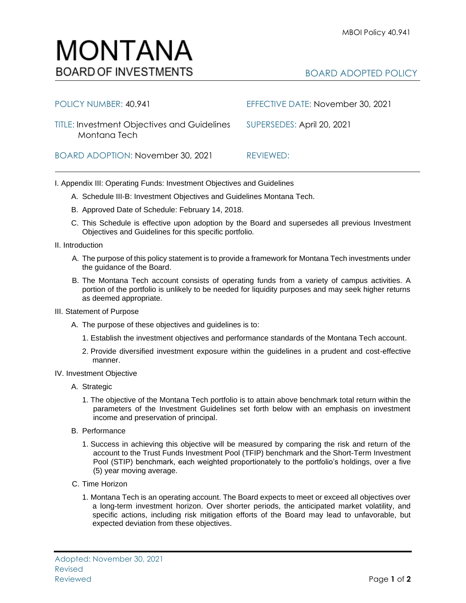| POLICY NUMBER: 40.941                                              | EFFECTIVE DATE: November 30, 2021 |
|--------------------------------------------------------------------|-----------------------------------|
| <b>TITLE: Investment Objectives and Guidelines</b><br>Montana Tech | SUPERSEDES: April 20, 2021        |
| BOARD ADOPTION: November 30, 2021                                  | REVIEWED:                         |

I. Appendix III: Operating Funds: Investment Objectives and Guidelines

- A. Schedule III-B: Investment Objectives and Guidelines Montana Tech.
- B. Approved Date of Schedule: February 14, 2018.
- C. This Schedule is effective upon adoption by the Board and supersedes all previous Investment Objectives and Guidelines for this specific portfolio*.*
- II. Introduction
	- A. The purpose of this policy statement is to provide a framework for Montana Tech investments under the guidance of the Board.
	- B. The Montana Tech account consists of operating funds from a variety of campus activities. A portion of the portfolio is unlikely to be needed for liquidity purposes and may seek higher returns as deemed appropriate.
- III. Statement of Purpose
	- A. The purpose of these objectives and guidelines is to:
		- 1. Establish the investment objectives and performance standards of the Montana Tech account.
		- 2. Provide diversified investment exposure within the guidelines in a prudent and cost-effective manner.
- IV. Investment Objective
	- A. Strategic
		- 1. The objective of the Montana Tech portfolio is to attain above benchmark total return within the parameters of the Investment Guidelines set forth below with an emphasis on investment income and preservation of principal.
	- B. Performance
		- 1. Success in achieving this objective will be measured by comparing the risk and return of the account to the Trust Funds Investment Pool (TFIP) benchmark and the Short-Term Investment Pool (STIP) benchmark, each weighted proportionately to the portfolio's holdings, over a five (5) year moving average.
	- C. Time Horizon
		- 1. Montana Tech is an operating account. The Board expects to meet or exceed all objectives over a long-term investment horizon. Over shorter periods, the anticipated market volatility, and specific actions, including risk mitigation efforts of the Board may lead to unfavorable, but expected deviation from these objectives.